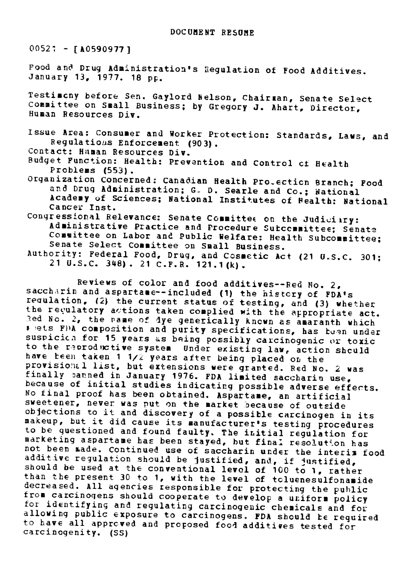$00527 - [A0590977]$ 

Food and Drug Administration's Regulation of Food Additives. January 13, 1977. 18 **pp.**

Testimcny before Sen. Gaylord Nelson, Chairaan, Senate Select Committee on Small Business; by Gregory J. Ahart, Director, Human Resources Div.

Issue Area: Consumer and Worker Protection: Standards, Laws, and Regulations Enforcement (903).

Contact: Human Resources Div.

- Budget Function: Health: Prevention and Control cf Health Problems (553).
- Organization Concerned: Canadian Health Pro.ecticn Branch; Food<br>and Drug Administration; G. D. Searle and Co.; National<br>Academy of Sciences; National Institutes of Fealth: National Cancer Inst.
- Congressional Relevance: Senate Committee on the Judiciiry:<br>Administrative Practice and Procedure Sutccommittee; Senate<br>Committee on Labor and Public Welfare: Health Subcommittee; Senate Select Committee on Small Business. Authority: Federal Food, Drug, and Cosmetic Act (21 U.S.C. 301; 21 U.S.C. 348). 21 C.F.R. 121.1(k).
	-

Reviews of color and food additives--Red No. 2,<br>saccharin and aspartance--included (1) the history of FDA's<br>requlation, (2) the current status of testing, and (3) whether<br>the regulatory actions taken complied with the appr suspicies for 15 years as being possibly carcinogenic or toxic<br>to the reproductive system Under existing law, action sheuld<br>have been taken 1 1/2 years after being placed on the<br>provisional list, but extensions were grante objections to it and discovery of a possible carcinogen in its<br>makeup, but it did cause its manufacturer's testing procedures<br>to be questioned and found faulty. The initial regulation for<br>mot been made. Continued use of sa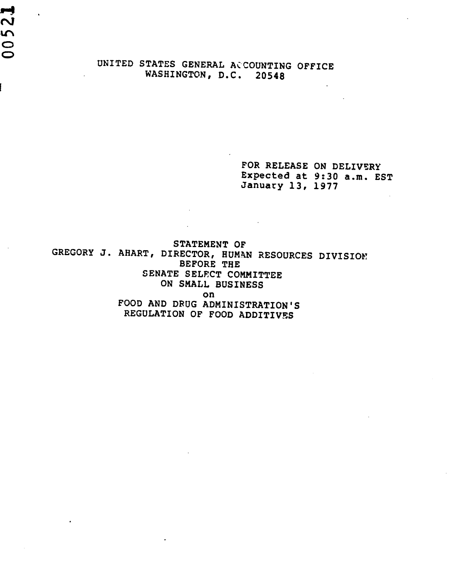UNITED STATES GENERAL ACCOUNTING OFFICE WASHINGTON, D.C. 20548

00521

FOR RELEASE ON DELIVERY Expected at 9:30 a.m. EST January 13, 1977

STATEMENT OF GREGORY J. AHART, DIRECTOR, HUMAN RESOURCES DIVISION BEFORE THE SENATE SELECT COMMITTEE ON SMALL BUSINESS on FOOD AND DRUG ADMINISTRATION'S REGULATION OF FOOD ADDITIVES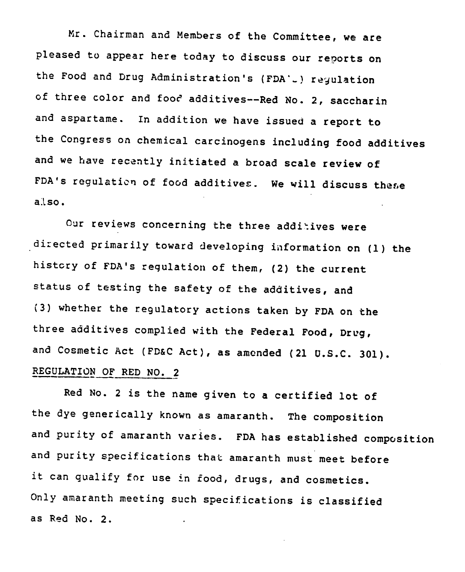Mr. Chairman and Members of the Committee, we are pleased to appear here today to discuss our reports on the Food and Drug Administration's (FDA'<sub>-</sub>) regulation of three color and food additives--Red No. 2, saccharin and aspartame. In addition we have issued a report to the Congress on chemical carcinogens including food additives and we have recently initiated a broad scale review of FDA's regulation of food additives. We will discuss these also.

Our reviews concerning the three additives were directed primarily toward developing information on (1) the history of FDA's regulation of them, (2) the current status of testing the safety of the additives, and (3) whether the regulatory actions taken by FDA on the three additives complied with the Federal Food, Drug, and Cosmetic Act (FD&C Act), as amended (21 U.S.C. 301). REGULATION OF RED NO. 2

Red No. 2 is the name given to a certified lot of the dye generically known as amaranth. The composition and purity of amaranth varies. FDA has established composition and purity specifications that amaranth must meet before it can qualify for use in food, drugs, and cosmetics. Only amaranth meeting such specifications is classified as Red No. 2.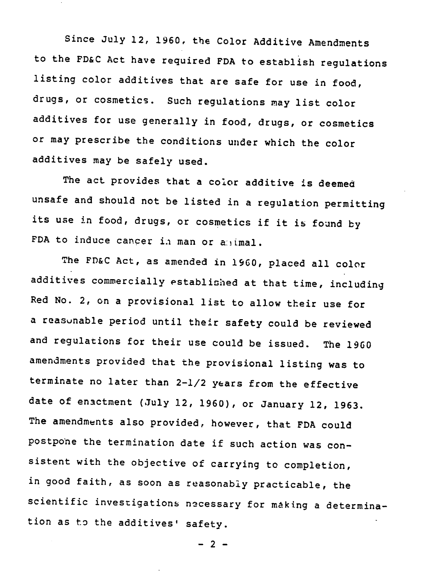Since July 12, 1960, the Color Additive Amendments to the FD&C Act have required FDA to establish regulations listing color additives that are safe for use in food, drugs, or cosmetics. Such regulations may list color additives for use generally in food, drugs, or cosmetics or may prescribe the conditions under which the color additives may be safely used.

The act provides that a color additive is deemed unsafe and should not be listed in a regulation permitting its use in food, drugs, or cosmetics if it is found by FDA to induce cancer in man or animal.

The FD&C Act, as amended in 1960, placed all color additives commercially established at that time, including Red No. 2, on a provisional list to allow their use for a reasonable period until their safety could be reviewed and regulations for their use could be issued. The 1960 amendments provided that the provisional listing was to terminate no later than 2-1/2 years from the effective date of enactment (July 12, 1960), or January 12, 1963. The amendments also provided, however, that FDA could postpone the termination date if such action was consistent with the objective of carrying to completion, in good faith, as soon as reasonably practicable, the scientific investigations necessary for making a determination as to the additives' safety.

**- 2 -**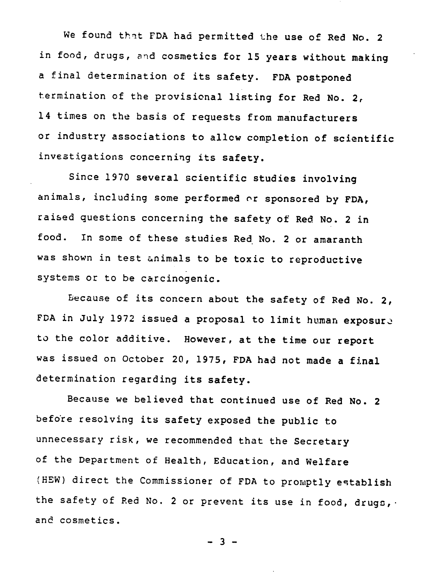We found that FDA had permitted the use of Red No. 2 in food, drugs, and cosmetics for 15 years without making a final determination of its safety. FDA postponed termination of the provisional listing for Red No. 2, 14 times on the basis of requests from manufacturers or industry associations to allow completion of scientific investigations concerning its safety.

Since 1970 several scientific studies involving animals, including some performed or sponsored by FDA, raised questions concerning the safety of Red No. 2 in food. In some of these studies Red No. 2 or amaranth was shown in test animals to be toxic to reproductive systems or to be carcinogenic.

Because of its concern about the safety of Red No. 2, FDA in July 1972 issued a proposal to limit human exposure to the color additive. However, at the time our report was issued on October 20, 1975, FDA had not made a final determination regarding its safety.

Because we believed that continued use of Red No. 2 before resolving its safety exposed the public to unnecessary risk, we recommended that the Secretary of the Department of Health, Education, and Welfare (HEW) direct the Commissioner of FDA to promptly establish the safety of Red No. 2 or prevent its use in food, drugs, . and cosmetics.

- 3 -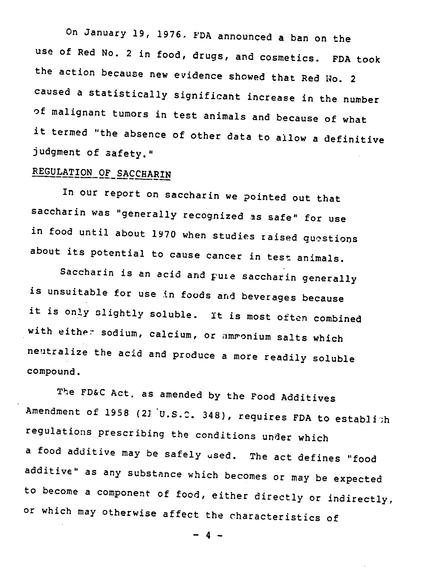On January 19, 1976. FDA announced a ban on the use of Red No. 2 in food, drugs, and cosmetics. FDA took the action because new evidence showed that Red No. 2 caused a statistically significant increase in the number of malignant tumors in test animals and because of what it termed "the absence of other data to allow a definitive judgment of safety."

## REGULATION OF SACCHARIN

In our report on saccharin we pointed out that saccharin was "generally recognized as safe" for use in food until about 1970 when studies raised questions about its potential to cause cancer in test animals.

Saccharin is an acid and pure saccharin generally is unsuitable for use in foods and beverages because it is only slightly soluble. It is most often combined with either sodium, calcium, or ammonium salts which neutralize the acid and produce a more readily soluble compound.

The FD&C Act, as amended by the Food Additives Amendment of 1958 (21 U.S.C. 348), requires FDA to establith regulations prescribing the conditions under which a food additive may be safely used. The act defines "food additive" as any substance which becomes or may be expected to become a component of food, either directly or indirectly, or which may otherwise affect the characteristics of

- 4 -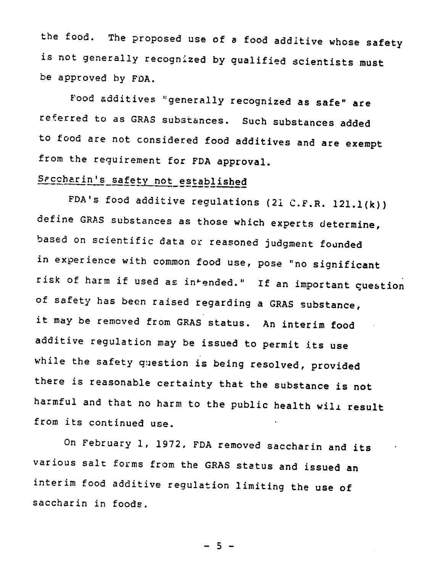the food. The proposed use of a food additive whose safety is not generally recognized by qualified scientists must be approved by FDA.

Food additives "generally recognized as safe" are referred to as GRAS substances. Such substances added to food are not considered food additives and are exempt from the requirement for FDA approval.

# Saccharin's safety not established

FDA's food additive regulations (21 C.F.R. 121.1(k)) define GRAS substances as those which experts determine, based on scientific data or reasoned judgment founded in experience with common food use, pose "no significant risk of harm if used as intended." If an important question of safety has been raised regarding a GRAS substance, it may be removed from GRAS status. An interim food additive regulation may be issued to permit its use while the safety question is being resolved, provided there is reasonable certainty that the substance is not harmful and that no harm to the public health will result from its continued use.

On February 1, 1972, FDA removed saccharin and its various salt forms from the GRAS status and issued an interim food additive regulation limiting the use of saccharin in foods.

 $-5 -$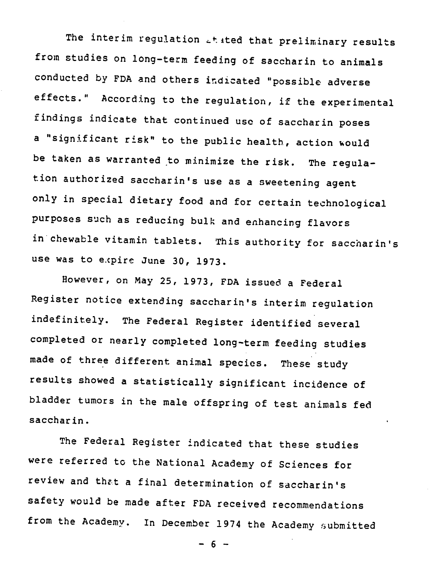The interim regulation  $L$ tited that preliminary results from studies on long-term feeding of saccharin to animals conducted by FDA and others indicated "possible adverse effects." According to the regulation, if the experimental findings indicate that continued use of saccharin poses a "significant risk" to the public health, action would be taken as warranted to minimize the risk. The regulation authorized saccharin's use as a sweetening agent only in special dietary food and for certain technological purposes such as reducing bulk and enhancing flavors in chewable vitamin tablets. This authority for saccharin's use was to e.xpire June 30, 1973.

However, on May 25, 1973, FDA issued a Federal Register notice extending saccharin's interim regulation indefinitely. The Federal Register identified several completed or nearly completed long-term feeding studies made of three different animal species. These study results showed a statistically significant incidence of bladder tumors in the male offspring of test animals fed saccharin.

The Federal Register indicated that these studies were referred to the National Academy of Sciences for review and that a final determination of saccharin's safety would be made after FDA received recommendations from the Academy. In December 1974 the Academy submitted

 $- 6 -$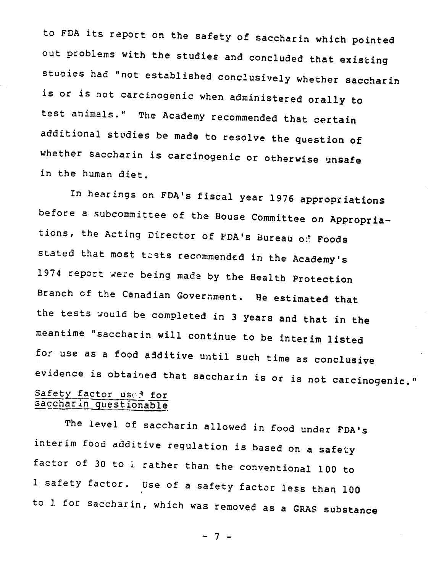to FDA its report on the safety of saccharin which pointed out problems with the studies and concluded that existing stuaies had "not established conclusively whether saccharin is or is not carcinogenic when administered orally to test animals." The Academy recommended that certain additional studies be made to resolve the question of whether saccharin is carcinogenic or otherwise unsafe in the human diet.

In hearings on FDA's fiscal year 1976 appropriations before a subcommittee of the House Committee on Appropriations, the Acting Director of FDA's Bureau of Foods stated that most tests recommended in the Academy's 1974 report were being made by the Health Protection Branch of the Canadian Government. He estimated that the tests would be completed in 3 years and that in the meantime "saccharin will continue to be interim listed for use as a food aditive until such time as conclusive evidence is obtained that saccharin is or is not carcinogenic." Safety factor used for saccharin questionable

The level of saccharin allowed in food under FDA's interim food additive regulation is based on a safety factor of 30 to i rather than the conventional 100 to 1 safety factor. Use of a safety factor less than 100 to 1 for saccharin, which was removed as a GRAS substance

- 7 -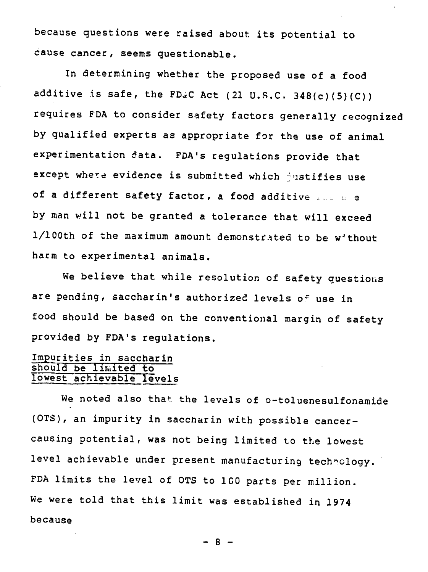because questions were raised about its potential to cause cancer, seems questionable.

In determining whether the proposed use of a food additive is safe, the FD.C Act (21 U.S.C. 348(c)(5)(C)) requires FDA to consider safety factors generally recognized by qualified experts as appropriate for the use of animal experimentation data. FDA's regulations provide that except where evidence is submitted which justifies use of a different safety factor, a food additive  $\Box$   $\Box$  e by man will not be granted a tolerance that will exceed 1/100th of the maximum amount demonstrated to be without harm to experimental animals.

We believe that while resolution of safety questions are pending, saccharin's authorized levels of use in food should be based on the conventional margin of safety provided by FDA's regulations.

#### Impurities in saccharin should be limited to lowest achievable levels

We noted also that the levels of o-toluenesulfonamide (OTS), an impurity in saccharin with possible cancercausing potential, was not being limited to the lowest level achievable under present manufacturing technology. FDA limits the level of OTS to 100 parts per million. We were told that this limit was established in 1974 because

- 8 -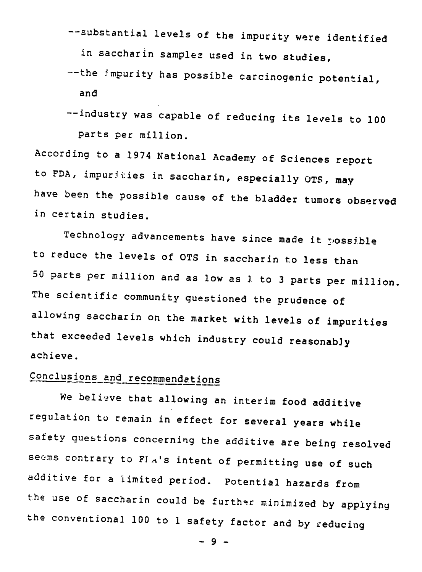-- substantial levels of the impurity were identified in saccharin samples used in two studies,

--the impurity has possible carcinogenic potential, and

-- industry was capable of reducing its levels to 100 parts per million.

According to a 1974 National Academy of Sciences report to FDA, impurities in saccharin, especially OTS, may have been the possible cause of the bladder tumors observed in certain studies.

Technology advancements have since made it rossible to reduce the levels of OTS in saccharin to less than 50 parts per million and as low as 1 to 3 parts per million. The scientific community questioned the prudence of allowing saccharin on the market with levels of impurities that exceeded levels which industry could reasonably achieve.

# Conclusions and recommendations

We believe that allowing an interim food additive regulation to remain in effect for several years while safety questions concerning the additive are being resolved seems contrary to FIA's intent of permitting use of such additive for a limited period. Potential hazards from the use of saccharin could be further minimized by applying the conventional 100 to 1 safety factor and by reducing

- 9 -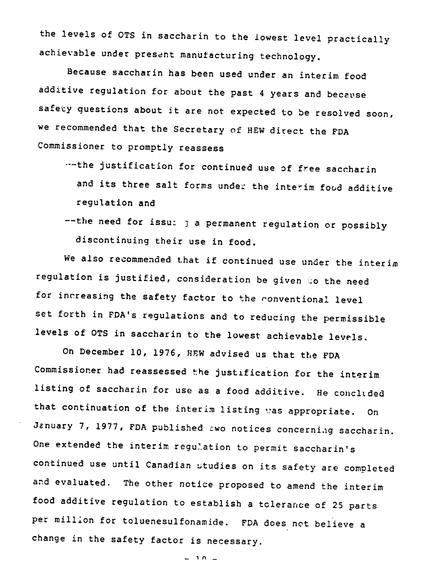the levels of OTS in saccharin to the lowest level practically achievable under present manufacturing technology.

Because saccharin has been used under an interim food additive regulation for about the past 4 years and because safety guestions about it are not expected to be resolved soon, we recommended that the Secretary of HEW direct the FDA Commissioner to promptly reassess

- ·--the justification for continued use of free saccharin and its three salt forms under the interim food additive regulation and
- $-$ the need for issu $i$   $j$  a permanent regulation or possibly discontinuing their use in food.

We also recommended that if continued use under the interim regulation is justified, consideration be given to the need for increasing the safety factor to the conventional level set forth in FDA's regulations and to reducing the permissible levels of OTS in saccharin to the lowest achievable levels.

On December 10, 1976, HEW advised us that the FDA Commissioner had reassessed the justification for the interim listing of saccharin for use as a food additive. He concluded that continuation of the interim listing was appropriate. On January 7, 1977, FDA published awo notices concerning saccharin. One extended the interim regu'ation to permit saccharin's continued use until Canadian studies on its safety are completed and evaluated. The other notice proposed to amend the interim food additive regulation to establish a tolerance of 25 parts per million for toluenesulfonamide. FDA does not believe a change in the safety factor is necessary.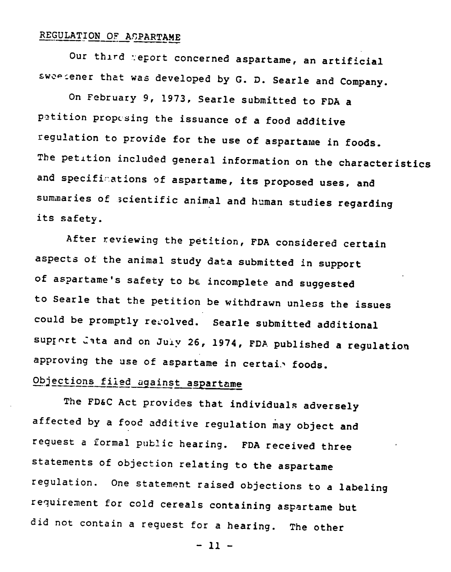### REGULATION OF APARTAME

Our third report concerned aspartame, an artificial sweedener that was developed by G. D. Searle and Company.

On February 9, 1973, Searle submitted to FDA a petition proposing the issuance of a food additive regulation to provide for the use of aspartame in foods. The petition included general information on the characteristics and specifications of aspartame, its proposed uses, and summaries of scientific animal and human studies regarding its safety.

After reviewing the petition, FDA considered certain aspects of the animal study data submitted in support of aspartame's safety to be incomplete and suggested to Searle that the petition be withdrawn unless the issues could be promptly resolved. Searle submitted additional support lata and on July 26, 1974, FDA published a regulation approving the use of aspartame in certain foods.

# Objections filed against aspartame

The FD&C Act provides that individuals adversely affected by a food additive regulation may object and request a formal public hearing. FDA received three statements of objection relating to the aspartame regulation. One statement raised objections to a labeling requirement for cold cereals containing aspartame but did not contain a request for a hearing. The other

- 11 -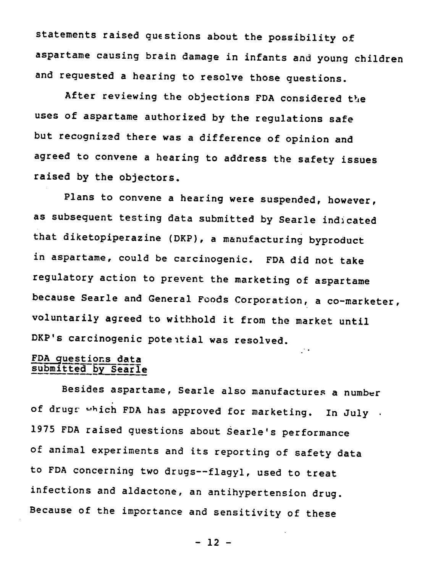statements raised questions about the possibility of aspartame causing brain damage in infants and young children and requested a hearing to resolve those questions.

After reviewing the objections FDA considered the uses of aspartame authorized by the regulations safe but recognized there was a difference of opinion and agreed to convene a hearing to address the safety issues raised by the objectors.

Plans to convene a hearing were suspended, however, as subsequent testing data submitted by Searle indicated that diketopiperazine (DKP), a manufacturing byproduct in aspartame, could be carcinogenic. FDA did not take regulatory action to prevent the marketing of aspartame because Searle and General Foods Corporation, a co-marketer, voluntarily agreed to withhold it from the market until DKP's carcinogenic potential was resolved.

 $\mathbb{R}^4$ 

#### FDA questions data submitted by Searle

Besides aspartame, Searle also manufactures a number of drugs which FDA has approved for marketing. In July . 1975 FDA raised questions about Searle's performance of animal experiments and its reporting of safety data to FDA concerning two drugs--flagyl, used to treat infections and aldactone, an antihypertension drug. Because of the importance and sensitivity of these

 $-12 -$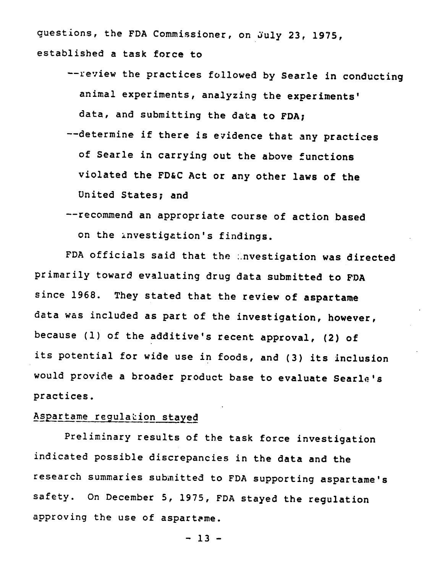questions, the FDA Commissioner, on July 23, 1975, established a task force to

- -- review the practices followed by Searle in conducting animal experiments, analyzing the experiments' data, and submitting the data to FDA;
- --determine if there is evidence that any practices of Searle in carrying out the above functions violated the FD&C Act or any other laws of the United States; and
- -- recommend an appropriate course of action based on the investigation's findings.

FDA officials said that the investigation was directed primarily toward evaluating drug data submitted to FDA since 1968. They stated that the review of aspartame data was included as part of the investigation, however, because (1) of the additive's recent approval, (2) of its potential for wide use in foods, and (3) its inclusion would provide a broader product base to evaluate Searle's practices.

### Aspartame regulation stayed

Preliminary results of the task force investigation indicated possible discrepancies in the data and the research summaries submitted to FDA supporting aspartame's safety. On December 5, 1975, FDA stayed the regulation approving the use of aspartame.

 $-13 -$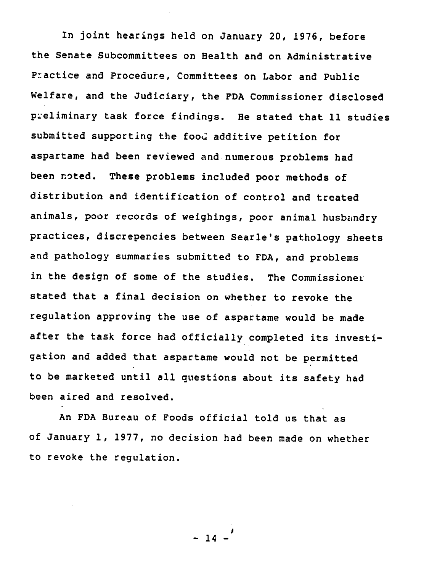In joint hearings held on January 20, 1976, before the Senate Subcommittees on Health and on Administrative Practice and Procedure, Committees on Labor and Public Welfare, and the Judiciary, the FDA Commissioner disclosed preliminary task force findings. He stated that 11 studies submitted supporting the food additive petition for aspartame had been reviewed and numerous problems had been noted. These problems included poor methods of distribution and identification of control and treated animals, poor records of weighings, poor animal husbandry practices, discrepencies between Searle's pathology sheets and pathology summaries submitted to FDA, and problems in the design of some of the studies. The Commissioner stated that a final decision on whether to revoke the regulation approving the use of aspartame would be made after the task force had officially completed its investigation and added that aspartame would not be permitted to be marketed until all questions about its safety had been aired and resolved.

An FDA Bureau of Foods official told us that as of January 1, 1977, no decision had been made on whether to revoke the regulation.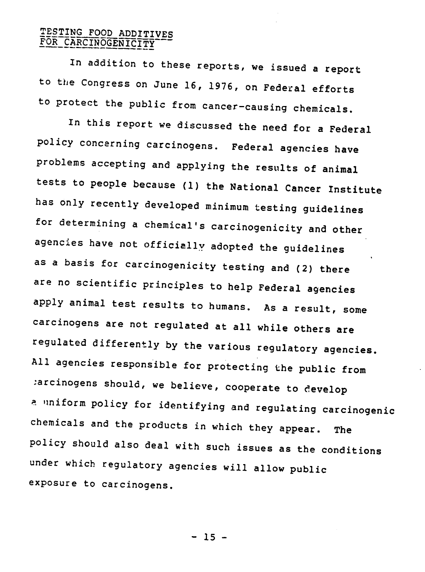### TESTING FOOD ADDITIVES FOR CARCINOGENICITY

In addition to these reports, we issued a report to the Congress on June 16, 1976, on Federal efforts to protect the public from cancer-causing chemicals.

In this report we discussed the need for a Federal policy concerning carcinogens. Federal agencies have problems accepting and applying the results of animal tests to people because (1) the National Cancer Institute has only recently developed minimum testing guidelines for determining a chemical's carcinogenicity and other agencies have not officially adopted the guidelines as a basis for carcinogenicity testing and (2) there are no scientific principles to help Federal agencies apply animal test results to humans. As a result, some carcinogens are not regulated at all while others are regulated differently by the various regulatory agencies. All agencies responsible for protecting the public from tarcinogens should, we believe, cooperate to develop <sup>a</sup>uniform policy for identifying and regulating carcinogenic chemicals and the products in which they appear. The policy should also deal with such issues as the conditions under which regulatory agencies will allow public exposure to carcinogens.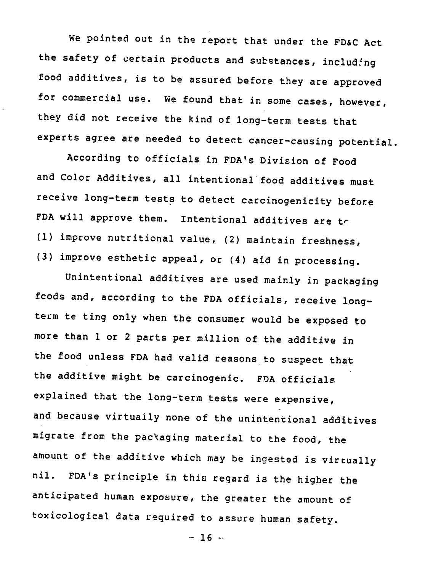We pointed out in the report that under the FD&C Act the safety of certain products and substances, including food additives, is to be assured before they are approved for commercial use. We found that in some cases, however, they did not receive the kind of long-term tests that experts agree are needed to detect cancer-causing potential.

According to officials in FDA's Division of Food and Color Additives, all intentional'food additives must receive long-term tests to detect carcinogenicity before FDA will approve them. Intentional additives are the (1) improve nutritional value, (2) maintain freshness, (3) improve esthetic appeal, or (4) aid in processing.

Unintentional additives are used mainly in packaging fcods and, according to the FDA officials, receive longterm te ting only when the consumer would be exposed to more than 1 or 2 parts per million of the additive in the food unless FDA had valid reasons to suspect that the additive might be carcinogenic. FDA officials explained that the long-term tests were expensive, and because virtually none of the unintentional additives migrate from the packaging material to the food, the amount of the additive which may be ingested is virtually nil. FDA's principle in this regard is the higher the anticipated human exposure, the greater the amount of toxicological data required to assure human safety.

 $- 16 -$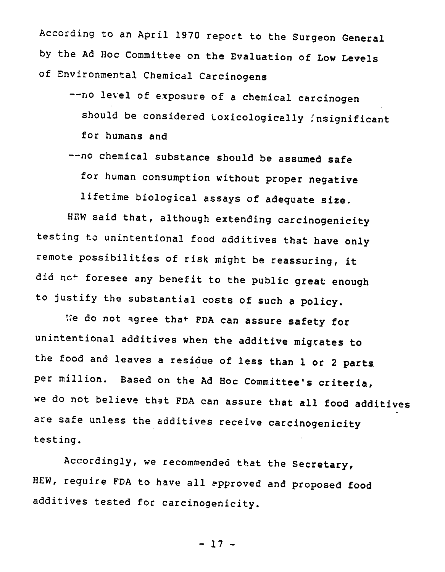According to an April 1970 report to the Surgeon General by the Ad Hoc Committee on the Evaluation of Low Levels of Environmental Chemical Carcinogens

- -- no level of exposure of a chemical carcinogen should be considered toxicologically insignificant for humans and
- -- no chemical substance should be assumed safe for human consumption without proper negative

lifetime biological assays of adequate size.

HEW said that, although extending carcinogenicity testing to unintentional food additives that have only remote possibilities of risk might be reassuring, it did not foresee any benefit to the public great enough to justify the substantial costs of such a policy.

We do not agree that FDA can assure safety for unintentional additives when the additive migrates to the food and leaves a residue of less than 1 or 2 parts per million. Based on the Ad Hoc Committee's criteria, we do not believe that FDA can assure that all food additives are safe unless the additives receive carcinogenicity testing.

Accordingly, we recommended that the Secretary, HEW, require FDA to have all approved and proposed food additives tested for carcinogenicity.

- 17 -